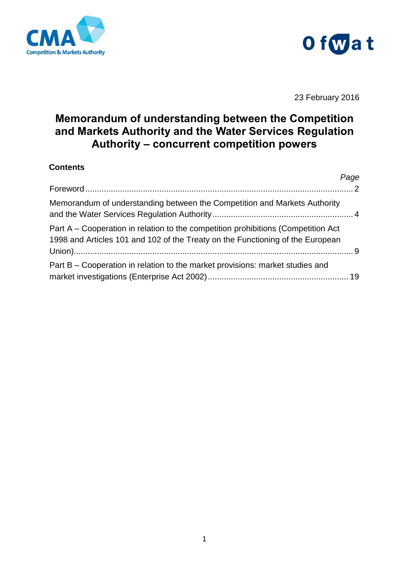



23 February 2016

# **Memorandum of understanding between the Competition and Markets Authority and the Water Services Regulation Authority – concurrent competition powers**

#### **Contents**

|                                                                                                                                                                     | Page |
|---------------------------------------------------------------------------------------------------------------------------------------------------------------------|------|
|                                                                                                                                                                     |      |
| Memorandum of understanding between the Competition and Markets Authority                                                                                           |      |
| Part A – Cooperation in relation to the competition prohibitions (Competition Act<br>1998 and Articles 101 and 102 of the Treaty on the Functioning of the European |      |
| Part B – Cooperation in relation to the market provisions: market studies and                                                                                       |      |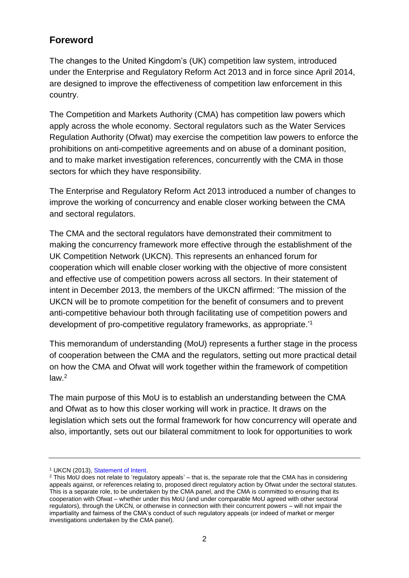## <span id="page-1-0"></span>**Foreword**

The changes to the United Kingdom's (UK) competition law system, introduced under the Enterprise and Regulatory Reform Act 2013 and in force since April 2014, are designed to improve the effectiveness of competition law enforcement in this country.

The Competition and Markets Authority (CMA) has competition law powers which apply across the whole economy. Sectoral regulators such as the Water Services Regulation Authority (Ofwat) may exercise the competition law powers to enforce the prohibitions on anti-competitive agreements and on abuse of a dominant position, and to make market investigation references, concurrently with the CMA in those sectors for which they have responsibility.

The Enterprise and Regulatory Reform Act 2013 introduced a number of changes to improve the working of concurrency and enable closer working between the CMA and sectoral regulators.

The CMA and the sectoral regulators have demonstrated their commitment to making the concurrency framework more effective through the establishment of the UK Competition Network (UKCN). This represents an enhanced forum for cooperation which will enable closer working with the objective of more consistent and effective use of competition powers across all sectors. In their statement of intent in December 2013, the members of the UKCN affirmed: 'The mission of the UKCN will be to promote competition for the benefit of consumers and to prevent anti-competitive behaviour both through facilitating use of competition powers and development of pro-competitive regulatory frameworks, as appropriate.' 1

This memorandum of understanding (MoU) represents a further stage in the process of cooperation between the CMA and the regulators, setting out more practical detail on how the CMA and Ofwat will work together within the framework of competition law. 2

The main purpose of this MoU is to establish an understanding between the CMA and Ofwat as to how this closer working will work in practice. It draws on the legislation which sets out the formal framework for how concurrency will operate and also, importantly, sets out our bilateral commitment to look for opportunities to work

<sup>1</sup> UKCN (2013), [Statement of Intent.](https://www.gov.uk/government/publications/uk-competition-network-statement-of-intent)

 $2$  This MoU does not relate to 'regulatory appeals' – that is, the separate role that the CMA has in considering appeals against, or references relating to, proposed direct regulatory action by Ofwat under the sectoral statutes. This is a separate role, to be undertaken by the CMA panel, and the CMA is committed to ensuring that its cooperation with Ofwat – whether under this MoU (and under comparable MoU agreed with other sectoral regulators), through the UKCN, or otherwise in connection with their concurrent powers – will not impair the impartiality and fairness of the CMA's conduct of such regulatory appeals (or indeed of market or merger investigations undertaken by the CMA panel).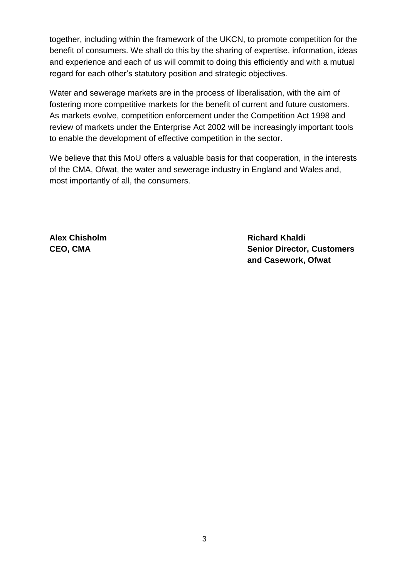together, including within the framework of the UKCN, to promote competition for the benefit of consumers. We shall do this by the sharing of expertise, information, ideas and experience and each of us will commit to doing this efficiently and with a mutual regard for each other's statutory position and strategic objectives.

Water and sewerage markets are in the process of liberalisation, with the aim of fostering more competitive markets for the benefit of current and future customers. As markets evolve, competition enforcement under the Competition Act 1998 and review of markets under the Enterprise Act 2002 will be increasingly important tools to enable the development of effective competition in the sector.

We believe that this MoU offers a valuable basis for that cooperation, in the interests of the CMA, Ofwat, the water and sewerage industry in England and Wales and, most importantly of all, the consumers.

**Alex Chisholm Communication Chinage Chisholm Communication Chinage Richard Khaldi CEO, CMA Senior Director, Customers and Casework, Ofwat**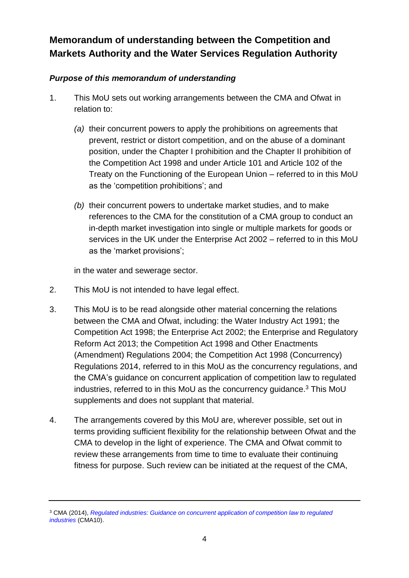# <span id="page-3-0"></span>**Memorandum of understanding between the Competition and Markets Authority and the Water Services Regulation Authority**

## *Purpose of this memorandum of understanding*

- 1. This MoU sets out working arrangements between the CMA and Ofwat in relation to:
	- *(a)* their concurrent powers to apply the prohibitions on agreements that prevent, restrict or distort competition, and on the abuse of a dominant position, under the Chapter I prohibition and the Chapter II prohibition of the Competition Act 1998 and under Article 101 and Article 102 of the Treaty on the Functioning of the European Union – referred to in this MoU as the 'competition prohibitions'; and
	- *(b)* their concurrent powers to undertake market studies, and to make references to the CMA for the constitution of a CMA group to conduct an in-depth market investigation into single or multiple markets for goods or services in the UK under the Enterprise Act 2002 – referred to in this MoU as the 'market provisions';

in the water and sewerage sector.

- 2. This MoU is not intended to have legal effect.
- 3. This MoU is to be read alongside other material concerning the relations between the CMA and Ofwat, including: the Water Industry Act 1991; the Competition Act 1998; the Enterprise Act 2002; the Enterprise and Regulatory Reform Act 2013; the Competition Act 1998 and Other Enactments (Amendment) Regulations 2004; the Competition Act 1998 (Concurrency) Regulations 2014, referred to in this MoU as the concurrency regulations, and the CMA's guidance on concurrent application of competition law to regulated industries, referred to in this MoU as the concurrency guidance. <sup>3</sup> This MoU supplements and does not supplant that material.
- 4. The arrangements covered by this MoU are, wherever possible, set out in terms providing sufficient flexibility for the relationship between Ofwat and the CMA to develop in the light of experience. The CMA and Ofwat commit to review these arrangements from time to time to evaluate their continuing fitness for purpose. Such review can be initiated at the request of the CMA,

<sup>3</sup> CMA (2014), *[Regulated industries: Guidance on concurrent application of competition law to regulated](https://www.gov.uk/government/publications/guidance-on-concurrent-application-of-competition-law-to-regulated-industries)  [industries](https://www.gov.uk/government/publications/guidance-on-concurrent-application-of-competition-law-to-regulated-industries)* (CMA10).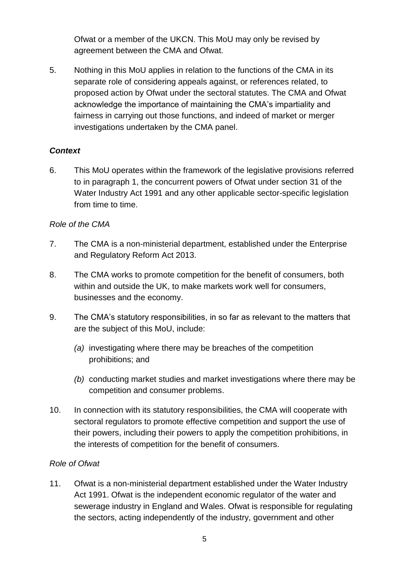Ofwat or a member of the UKCN. This MoU may only be revised by agreement between the CMA and Ofwat.

5. Nothing in this MoU applies in relation to the functions of the CMA in its separate role of considering appeals against, or references related, to proposed action by Ofwat under the sectoral statutes. The CMA and Ofwat acknowledge the importance of maintaining the CMA's impartiality and fairness in carrying out those functions, and indeed of market or merger investigations undertaken by the CMA panel.

### *Context*

6. This MoU operates within the framework of the legislative provisions referred to in paragraph 1, the concurrent powers of Ofwat under section 31 of the Water Industry Act 1991 and any other applicable sector-specific legislation from time to time.

#### *Role of the CMA*

- 7. The CMA is a non-ministerial department, established under the Enterprise and Regulatory Reform Act 2013.
- 8. The CMA works to promote competition for the benefit of consumers, both within and outside the UK, to make markets work well for consumers, businesses and the economy.
- 9. The CMA's statutory responsibilities, in so far as relevant to the matters that are the subject of this MoU, include:
	- *(a)* investigating where there may be breaches of the competition prohibitions; and
	- *(b)* conducting market studies and market investigations where there may be competition and consumer problems.
- 10. In connection with its statutory responsibilities, the CMA will cooperate with sectoral regulators to promote effective competition and support the use of their powers, including their powers to apply the competition prohibitions, in the interests of competition for the benefit of consumers.

#### *Role of Ofwat*

11. Ofwat is a non-ministerial department established under the Water Industry Act 1991. Ofwat is the independent economic regulator of the water and sewerage industry in England and Wales. Ofwat is responsible for regulating the sectors, acting independently of the industry, government and other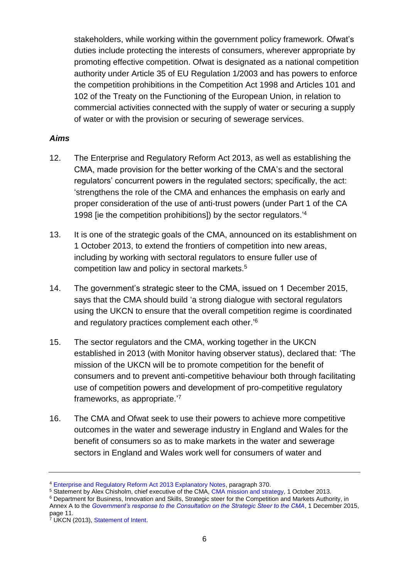stakeholders, while working within the government policy framework. Ofwat's duties include protecting the interests of consumers, wherever appropriate by promoting effective competition. Ofwat is designated as a national competition authority under Article 35 of EU Regulation 1/2003 and has powers to enforce the competition prohibitions in the Competition Act 1998 and Articles 101 and 102 of the Treaty on the Functioning of the European Union, in relation to commercial activities connected with the supply of water or securing a supply of water or with the provision or securing of sewerage services.

#### *Aims*

- 12. The Enterprise and Regulatory Reform Act 2013, as well as establishing the CMA, made provision for the better working of the CMA's and the sectoral regulators' concurrent powers in the regulated sectors; specifically, the act: 'strengthens the role of the CMA and enhances the emphasis on early and proper consideration of the use of anti-trust powers (under Part 1 of the CA 1998 lie the competition prohibitions]) by the sector regulators.<sup>4</sup>
- 13. It is one of the strategic goals of the CMA, announced on its establishment on 1 October 2013, to extend the frontiers of competition into new areas, including by working with sectoral regulators to ensure fuller use of competition law and policy in sectoral markets.<sup>5</sup>
- 14. The government's strategic steer to the CMA, issued on 1 December 2015, says that the CMA should build 'a strong dialogue with sectoral regulators using the UKCN to ensure that the overall competition regime is coordinated and regulatory practices complement each other.<sup>'6</sup>
- 15. The sector regulators and the CMA, working together in the UKCN established in 2013 (with Monitor having observer status), declared that: 'The mission of the UKCN will be to promote competition for the benefit of consumers and to prevent anti-competitive behaviour both through facilitating use of competition powers and development of pro-competitive regulatory frameworks, as appropriate.'7
- 16. The CMA and Ofwat seek to use their powers to achieve more competitive outcomes in the water and sewerage industry in England and Wales for the benefit of consumers so as to make markets in the water and sewerage sectors in England and Wales work well for consumers of water and

<sup>4</sup> [Enterprise and Regulatory Reform Act 2013 Explanatory Notes,](http://www.legislation.gov.uk/ukpga/2013/24/notes) paragraph 370.

<sup>&</sup>lt;sup>5</sup> Statement by Alex Chisholm, chief executive of the CMA, [CMA mission and strategy,](https://www.gov.uk/government/speeches/cma-mission-and-strategy) 1 October 2013.

<sup>6</sup> Department for Business, Innovation and Skills, Strategic steer for the Competition and Markets Authority, in Annex A to the *[Government's response to the Consultation on the Strategic Steer to the CMA](https://www.gov.uk/government/consultations/competition-regime-competition-and-markets-authority-governments-strategic-priorities)*, 1 December 2015, page 11.

<sup>&</sup>lt;sup>7</sup> UKCN (2013), [Statement of Intent.](https://www.gov.uk/government/publications/uk-competition-network-statement-of-intent)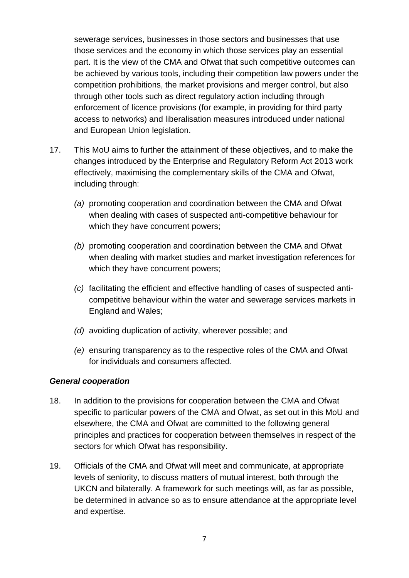sewerage services, businesses in those sectors and businesses that use those services and the economy in which those services play an essential part. It is the view of the CMA and Ofwat that such competitive outcomes can be achieved by various tools, including their competition law powers under the competition prohibitions, the market provisions and merger control, but also through other tools such as direct regulatory action including through enforcement of licence provisions (for example, in providing for third party access to networks) and liberalisation measures introduced under national and European Union legislation.

- 17. This MoU aims to further the attainment of these objectives, and to make the changes introduced by the Enterprise and Regulatory Reform Act 2013 work effectively, maximising the complementary skills of the CMA and Ofwat, including through:
	- *(a)* promoting cooperation and coordination between the CMA and Ofwat when dealing with cases of suspected anti-competitive behaviour for which they have concurrent powers;
	- *(b)* promoting cooperation and coordination between the CMA and Ofwat when dealing with market studies and market investigation references for which they have concurrent powers;
	- *(c)* facilitating the efficient and effective handling of cases of suspected anticompetitive behaviour within the water and sewerage services markets in England and Wales;
	- *(d)* avoiding duplication of activity, wherever possible; and
	- *(e)* ensuring transparency as to the respective roles of the CMA and Ofwat for individuals and consumers affected.

#### *General cooperation*

- 18. In addition to the provisions for cooperation between the CMA and Ofwat specific to particular powers of the CMA and Ofwat, as set out in this MoU and elsewhere, the CMA and Ofwat are committed to the following general principles and practices for cooperation between themselves in respect of the sectors for which Ofwat has responsibility.
- 19. Officials of the CMA and Ofwat will meet and communicate, at appropriate levels of seniority, to discuss matters of mutual interest, both through the UKCN and bilaterally. A framework for such meetings will, as far as possible, be determined in advance so as to ensure attendance at the appropriate level and expertise.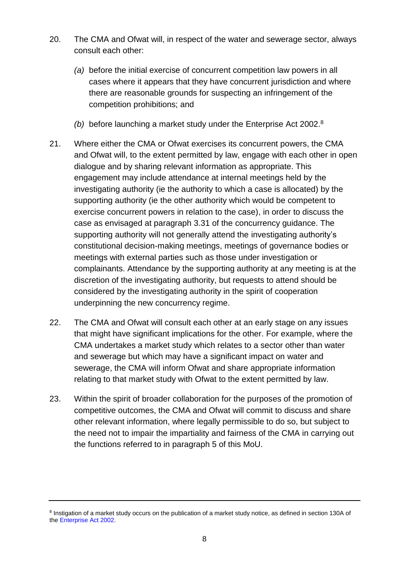- 20. The CMA and Ofwat will, in respect of the water and sewerage sector, always consult each other:
	- *(a)* before the initial exercise of concurrent competition law powers in all cases where it appears that they have concurrent jurisdiction and where there are reasonable grounds for suspecting an infringement of the competition prohibitions; and
	- *(b)* before launching a market study under the Enterprise Act 2002. 8
- <span id="page-7-0"></span>21. Where either the CMA or Ofwat exercises its concurrent powers, the CMA and Ofwat will, to the extent permitted by law, engage with each other in open dialogue and by sharing relevant information as appropriate. This engagement may include attendance at internal meetings held by the investigating authority (ie the authority to which a case is allocated) by the supporting authority (ie the other authority which would be competent to exercise concurrent powers in relation to the case), in order to discuss the case as envisaged at paragraph 3.31 of the concurrency guidance. The supporting authority will not generally attend the investigating authority's constitutional decision-making meetings, meetings of governance bodies or meetings with external parties such as those under investigation or complainants. Attendance by the supporting authority at any meeting is at the discretion of the investigating authority, but requests to attend should be considered by the investigating authority in the spirit of cooperation underpinning the new concurrency regime.
- 22. The CMA and Ofwat will consult each other at an early stage on any issues that might have significant implications for the other. For example, where the CMA undertakes a market study which relates to a sector other than water and sewerage but which may have a significant impact on water and sewerage, the CMA will inform Ofwat and share appropriate information relating to that market study with Ofwat to the extent permitted by law.
- 23. Within the spirit of broader collaboration for the purposes of the promotion of competitive outcomes, the CMA and Ofwat will commit to discuss and share other relevant information, where legally permissible to do so, but subject to the need not to impair the impartiality and fairness of the CMA in carrying out the functions referred to in paragraph 5 of this MoU.

<sup>&</sup>lt;sup>8</sup> Instigation of a market study occurs on the publication of a market study notice, as defined in section 130A of the [Enterprise Act 2002.](http://www.legislation.gov.uk/ukpga/2002/40/contents)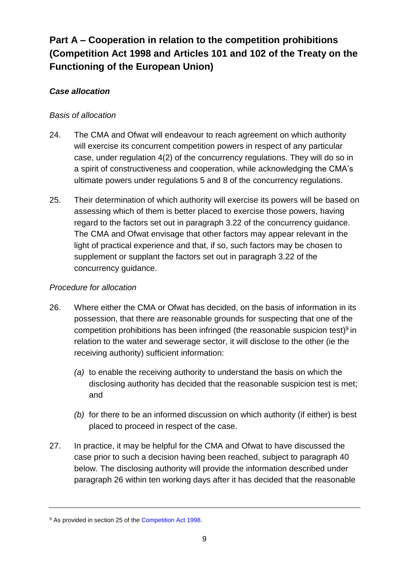# <span id="page-8-0"></span>**Part A – Cooperation in relation to the competition prohibitions (Competition Act 1998 and Articles 101 and 102 of the Treaty on the Functioning of the European Union)**

## *Case allocation*

### *Basis of allocation*

- 24. The CMA and Ofwat will endeavour to reach agreement on which authority will exercise its concurrent competition powers in respect of any particular case, under regulation 4(2) of the concurrency regulations. They will do so in a spirit of constructiveness and cooperation, while acknowledging the CMA's ultimate powers under regulations 5 and 8 of the concurrency regulations.
- 25. Their determination of which authority will exercise its powers will be based on assessing which of them is better placed to exercise those powers, having regard to the factors set out in paragraph 3.22 of the concurrency guidance. The CMA and Ofwat envisage that other factors may appear relevant in the light of practical experience and that, if so, such factors may be chosen to supplement or supplant the factors set out in paragraph 3.22 of the concurrency guidance.

### *Procedure for allocation*

- <span id="page-8-1"></span>26. Where either the CMA or Ofwat has decided, on the basis of information in its possession, that there are reasonable grounds for suspecting that one of the competition prohibitions has been infringed (the reasonable suspicion test)<sup>9</sup> in relation to the water and sewerage sector, it will disclose to the other (ie the receiving authority) sufficient information:
	- *(a)* to enable the receiving authority to understand the basis on which the disclosing authority has decided that the reasonable suspicion test is met; and
	- *(b)* for there to be an informed discussion on which authority (if either) is best placed to proceed in respect of the case.
- 27. In practice, it may be helpful for the CMA and Ofwat to have discussed the case prior to such a decision having been reached, subject to paragraph 40 below. The disclosing authority will provide the information described under paragraph 26 within ten working days after it has decided that the reasonable

<sup>&</sup>lt;sup>9</sup> As provided in section 25 of the [Competition Act 1998.](http://www.legislation.gov.uk/ukpga/1998/41/contents)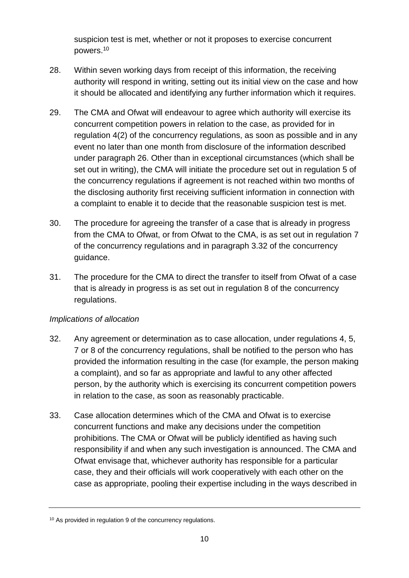suspicion test is met, whether or not it proposes to exercise concurrent powers. 10

- <span id="page-9-1"></span>28. Within seven working days from receipt of this information, the receiving authority will respond in writing, setting out its initial view on the case and how it should be allocated and identifying any further information which it requires.
- 29. The CMA and Ofwat will endeavour to agree which authority will exercise its concurrent competition powers in relation to the case, as provided for in regulation 4(2) of the concurrency regulations, as soon as possible and in any event no later than one month from disclosure of the information described under paragraph 26. Other than in exceptional circumstances (which shall be set out in writing), the CMA will initiate the procedure set out in regulation 5 of the concurrency regulations if agreement is not reached within two months of the disclosing authority first receiving sufficient information in connection with a complaint to enable it to decide that the reasonable suspicion test is met.
- 30. The procedure for agreeing the transfer of a case that is already in progress from the CMA to Ofwat, or from Ofwat to the CMA, is as set out in regulation 7 of the concurrency regulations and in paragraph 3.32 of the concurrency guidance.
- <span id="page-9-0"></span>31. The procedure for the CMA to direct the transfer to itself from Ofwat of a case that is already in progress is as set out in regulation 8 of the concurrency regulations.

#### *Implications of allocation*

- 32. Any agreement or determination as to case allocation, under regulations 4, 5, 7 or 8 of the concurrency regulations, shall be notified to the person who has provided the information resulting in the case (for example, the person making a complaint), and so far as appropriate and lawful to any other affected person, by the authority which is exercising its concurrent competition powers in relation to the case, as soon as reasonably practicable.
- 33. Case allocation determines which of the CMA and Ofwat is to exercise concurrent functions and make any decisions under the competition prohibitions. The CMA or Ofwat will be publicly identified as having such responsibility if and when any such investigation is announced. The CMA and Ofwat envisage that, whichever authority has responsible for a particular case, they and their officials will work cooperatively with each other on the case as appropriate, pooling their expertise including in the ways described in

<sup>&</sup>lt;sup>10</sup> As provided in regulation 9 of the concurrency regulations.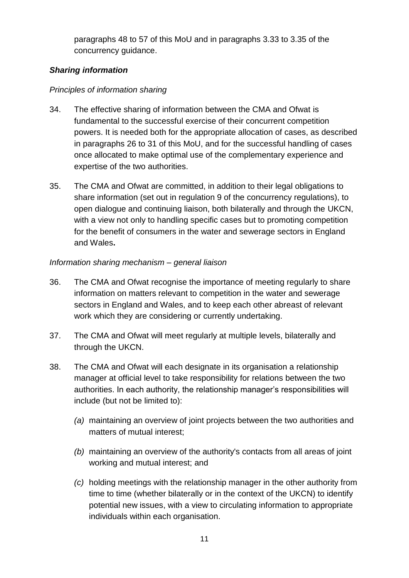paragraphs [48](#page-13-0) to [57](#page-15-0) of this MoU and in paragraphs 3.33 to 3.35 of the concurrency guidance.

### *Sharing information*

## *Principles of information sharing*

- <span id="page-10-0"></span>34. The effective sharing of information between the CMA and Ofwat is fundamental to the successful exercise of their concurrent competition powers. It is needed both for the appropriate allocation of cases, as described in paragraphs [26](#page-8-1) to [31](#page-9-0) of this MoU, and for the successful handling of cases once allocated to make optimal use of the complementary experience and expertise of the two authorities.
- 35. The CMA and Ofwat are committed, in addition to their legal obligations to share information (set out in regulation 9 of the concurrency regulations), to open dialogue and continuing liaison, both bilaterally and through the UKCN, with a view not only to handling specific cases but to promoting competition for the benefit of consumers in the water and sewerage sectors in England and Wales**.**

## *Information sharing mechanism – general liaison*

- <span id="page-10-1"></span>36. The CMA and Ofwat recognise the importance of meeting regularly to share information on matters relevant to competition in the water and sewerage sectors in England and Wales, and to keep each other abreast of relevant work which they are considering or currently undertaking.
- 37. The CMA and Ofwat will meet regularly at multiple levels, bilaterally and through the UKCN.
- 38. The CMA and Ofwat will each designate in its organisation a relationship manager at official level to take responsibility for relations between the two authorities. In each authority, the relationship manager's responsibilities will include (but not be limited to):
	- *(a)* maintaining an overview of joint projects between the two authorities and matters of mutual interest;
	- *(b)* maintaining an overview of the authority's contacts from all areas of joint working and mutual interest; and
	- *(c)* holding meetings with the relationship manager in the other authority from time to time (whether bilaterally or in the context of the UKCN) to identify potential new issues, with a view to circulating information to appropriate individuals within each organisation.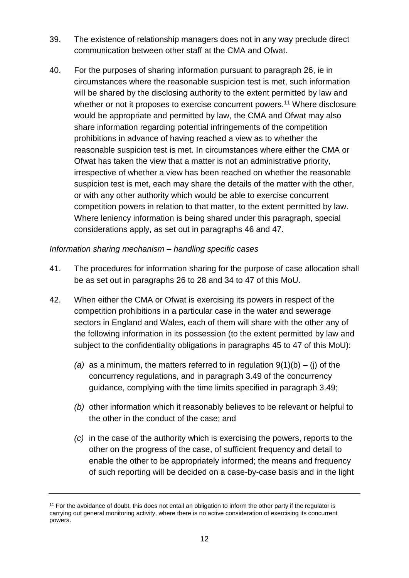- 39. The existence of relationship managers does not in any way preclude direct communication between other staff at the CMA and Ofwat.
- <span id="page-11-0"></span>40. For the purposes of sharing information pursuant to paragraph [26,](#page-8-1) ie in circumstances where the reasonable suspicion test is met, such information will be shared by the disclosing authority to the extent permitted by law and whether or not it proposes to exercise concurrent powers.<sup>11</sup> Where disclosure would be appropriate and permitted by law, the CMA and Ofwat may also share information regarding potential infringements of the competition prohibitions in advance of having reached a view as to whether the reasonable suspicion test is met. In circumstances where either the CMA or Ofwat has taken the view that a matter is not an administrative priority, irrespective of whether a view has been reached on whether the reasonable suspicion test is met, each may share the details of the matter with the other, or with any other authority which would be able to exercise concurrent competition powers in relation to that matter, to the extent permitted by law. Where leniency information is being shared under this paragraph, special considerations apply, as set out in paragraphs [46](#page-12-0) and [47.](#page-12-1)

#### *Information sharing mechanism – handling specific cases*

- 41. The procedures for information sharing for the purpose of case allocation shall be as set out in paragraphs [26](#page-8-1) to [28](#page-9-1) and [34](#page-10-0) to [47](#page-12-1) of this MoU.
- <span id="page-11-2"></span><span id="page-11-1"></span>42. When either the CMA or Ofwat is exercising its powers in respect of the competition prohibitions in a particular case in the water and sewerage sectors in England and Wales, each of them will share with the other any of the following information in its possession (to the extent permitted by law and subject to the confidentiality obligations in paragraphs [45](#page-12-2) to [47](#page-12-1) of this MoU):
	- *(a)* as a minimum, the matters referred to in regulation 9(1)(b) (j) of the concurrency regulations, and in paragraph 3.49 of the concurrency guidance, complying with the time limits specified in paragraph 3.49;
	- *(b)* other information which it reasonably believes to be relevant or helpful to the other in the conduct of the case; and
	- *(c)* in the case of the authority which is exercising the powers, reports to the other on the progress of the case, of sufficient frequency and detail to enable the other to be appropriately informed; the means and frequency of such reporting will be decided on a case-by-case basis and in the light

<sup>&</sup>lt;sup>11</sup> For the avoidance of doubt, this does not entail an obligation to inform the other party if the regulator is carrying out general monitoring activity, where there is no active consideration of exercising its concurrent powers.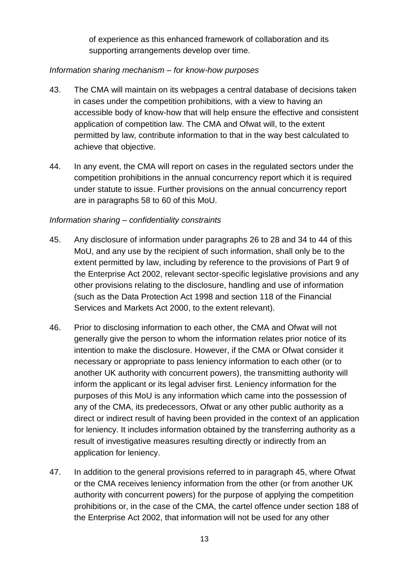of experience as this enhanced framework of collaboration and its supporting arrangements develop over time.

### *Information sharing mechanism – for know-how purposes*

- 43. The CMA will maintain on its webpages a central database of decisions taken in cases under the competition prohibitions, with a view to having an accessible body of know-how that will help ensure the effective and consistent application of competition law. The CMA and Ofwat will, to the extent permitted by law, contribute information to that in the way best calculated to achieve that objective.
- <span id="page-12-3"></span>44. In any event, the CMA will report on cases in the regulated sectors under the competition prohibitions in the annual concurrency report which it is required under statute to issue. Further provisions on the annual concurrency report are in paragraphs [58](#page-15-1) to [60](#page-16-0) of this MoU.

#### *Information sharing – confidentiality constraints*

- <span id="page-12-2"></span>45. Any disclosure of information under paragraphs [26](#page-8-1) to [28](#page-9-1) and [34](#page-10-0) to [44](#page-12-3) of this MoU, and any use by the recipient of such information, shall only be to the extent permitted by law, including by reference to the provisions of Part 9 of the Enterprise Act 2002, relevant sector-specific legislative provisions and any other provisions relating to the disclosure, handling and use of information (such as the Data Protection Act 1998 and section 118 of the Financial Services and Markets Act 2000, to the extent relevant).
- <span id="page-12-0"></span>46. Prior to disclosing information to each other, the CMA and Ofwat will not generally give the person to whom the information relates prior notice of its intention to make the disclosure. However, if the CMA or Ofwat consider it necessary or appropriate to pass leniency information to each other (or to another UK authority with concurrent powers), the transmitting authority will inform the applicant or its legal adviser first. Leniency information for the purposes of this MoU is any information which came into the possession of any of the CMA, its predecessors, Ofwat or any other public authority as a direct or indirect result of having been provided in the context of an application for leniency. It includes information obtained by the transferring authority as a result of investigative measures resulting directly or indirectly from an application for leniency.
- <span id="page-12-1"></span>47. In addition to the general provisions referred to in paragraph [45,](#page-12-2) where Ofwat or the CMA receives leniency information from the other (or from another UK authority with concurrent powers) for the purpose of applying the competition prohibitions or, in the case of the CMA, the cartel offence under section 188 of the Enterprise Act 2002, that information will not be used for any other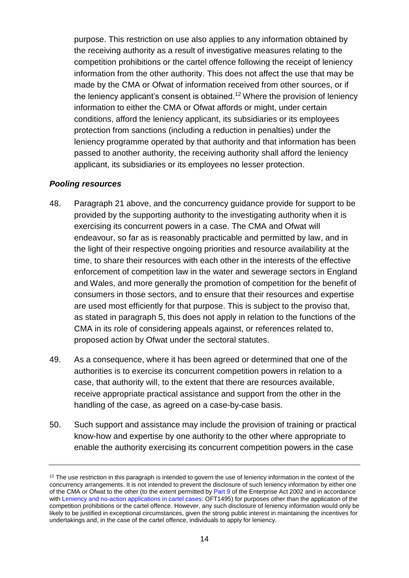purpose. This restriction on use also applies to any information obtained by the receiving authority as a result of investigative measures relating to the competition prohibitions or the cartel offence following the receipt of leniency information from the other authority. This does not affect the use that may be made by the CMA or Ofwat of information received from other sources, or if the leniency applicant's consent is obtained.<sup>12</sup> Where the provision of leniency information to either the CMA or Ofwat affords or might, under certain conditions, afford the leniency applicant, its subsidiaries or its employees protection from sanctions (including a reduction in penalties) under the leniency programme operated by that authority and that information has been passed to another authority, the receiving authority shall afford the leniency applicant, its subsidiaries or its employees no lesser protection.

#### *Pooling resources*

- <span id="page-13-0"></span>48. Paragraph [21](#page-7-0) above, and the concurrency guidance provide for support to be provided by the supporting authority to the investigating authority when it is exercising its concurrent powers in a case. The CMA and Ofwat will endeavour, so far as is reasonably practicable and permitted by law, and in the light of their respective ongoing priorities and resource availability at the time, to share their resources with each other in the interests of the effective enforcement of competition law in the water and sewerage sectors in England and Wales, and more generally the promotion of competition for the benefit of consumers in those sectors, and to ensure that their resources and expertise are used most efficiently for that purpose. This is subject to the proviso that, as stated in paragraph 5, this does not apply in relation to the functions of the CMA in its role of considering appeals against, or references related to, proposed action by Ofwat under the sectoral statutes.
- <span id="page-13-1"></span>49. As a consequence, where it has been agreed or determined that one of the authorities is to exercise its concurrent competition powers in relation to a case, that authority will, to the extent that there are resources available, receive appropriate practical assistance and support from the other in the handling of the case, as agreed on a case-by-case basis.
- 50. Such support and assistance may include the provision of training or practical know-how and expertise by one authority to the other where appropriate to enable the authority exercising its concurrent competition powers in the case

 $12$  The use restriction in this paragraph is intended to govern the use of leniency information in the context of the concurrency arrangements. It is not intended to prevent the disclosure of such leniency information by either one of the CMA or Ofwat to the other (to the extent permitted by [Part 9](http://www.legislation.gov.uk/ukpga/2002/40/part/9) of the Enterprise Act 2002 and in accordance with [Leniency and no-action applications in cartel cases:](https://www.gov.uk/government/publications/leniency-and-no-action-applications-in-cartel-cases) OFT1495) for purposes other than the application of the competition prohibitions or the cartel offence. However, any such disclosure of leniency information would only be likely to be justified in exceptional circumstances, given the strong public interest in maintaining the incentives for undertakings and, in the case of the cartel offence, individuals to apply for leniency.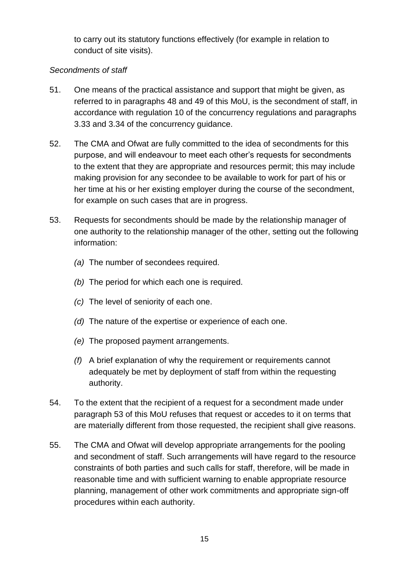to carry out its statutory functions effectively (for example in relation to conduct of site visits).

### *Secondments of staff*

- 51. One means of the practical assistance and support that might be given, as referred to in paragraphs [48](#page-13-0) and [49](#page-13-1) of this MoU, is the secondment of staff, in accordance with regulation 10 of the concurrency regulations and paragraphs 3.33 and 3.34 of the concurrency guidance.
- 52. The CMA and Ofwat are fully committed to the idea of secondments for this purpose, and will endeavour to meet each other's requests for secondments to the extent that they are appropriate and resources permit; this may include making provision for any secondee to be available to work for part of his or her time at his or her existing employer during the course of the secondment, for example on such cases that are in progress.
- <span id="page-14-0"></span>53. Requests for secondments should be made by the relationship manager of one authority to the relationship manager of the other, setting out the following information:
	- *(a)* The number of secondees required.
	- *(b)* The period for which each one is required.
	- *(c)* The level of seniority of each one.
	- *(d)* The nature of the expertise or experience of each one.
	- *(e)* The proposed payment arrangements.
	- *(f)* A brief explanation of why the requirement or requirements cannot adequately be met by deployment of staff from within the requesting authority.
- 54. To the extent that the recipient of a request for a secondment made under paragraph [53](#page-14-0) of this MoU refuses that request or accedes to it on terms that are materially different from those requested, the recipient shall give reasons.
- 55. The CMA and Ofwat will develop appropriate arrangements for the pooling and secondment of staff. Such arrangements will have regard to the resource constraints of both parties and such calls for staff, therefore, will be made in reasonable time and with sufficient warning to enable appropriate resource planning, management of other work commitments and appropriate sign-off procedures within each authority.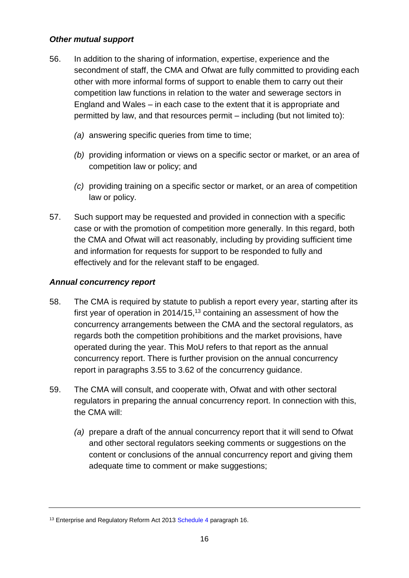#### *Other mutual support*

- 56. In addition to the sharing of information, expertise, experience and the secondment of staff, the CMA and Ofwat are fully committed to providing each other with more informal forms of support to enable them to carry out their competition law functions in relation to the water and sewerage sectors in England and Wales – in each case to the extent that it is appropriate and permitted by law, and that resources permit – including (but not limited to):
	- *(a)* answering specific queries from time to time;
	- *(b)* providing information or views on a specific sector or market, or an area of competition law or policy; and
	- *(c)* providing training on a specific sector or market, or an area of competition law or policy.
- <span id="page-15-0"></span>57. Such support may be requested and provided in connection with a specific case or with the promotion of competition more generally. In this regard, both the CMA and Ofwat will act reasonably, including by providing sufficient time and information for requests for support to be responded to fully and effectively and for the relevant staff to be engaged.

#### *Annual concurrency report*

- <span id="page-15-1"></span>58. The CMA is required by statute to publish a report every year, starting after its first year of operation in 2014/15,<sup>13</sup> containing an assessment of how the concurrency arrangements between the CMA and the sectoral regulators, as regards both the competition prohibitions and the market provisions, have operated during the year. This MoU refers to that report as the annual concurrency report. There is further provision on the annual concurrency report in paragraphs 3.55 to 3.62 of the concurrency guidance.
- <span id="page-15-2"></span>59. The CMA will consult, and cooperate with, Ofwat and with other sectoral regulators in preparing the annual concurrency report. In connection with this, the CMA will:
	- *(a)* prepare a draft of the annual concurrency report that it will send to Ofwat and other sectoral regulators seeking comments or suggestions on the content or conclusions of the annual concurrency report and giving them adequate time to comment or make suggestions;

<sup>&</sup>lt;sup>13</sup> Enterprise and Regulatory Reform Act 2013 [Schedule 4](http://www.legislation.gov.uk/ukpga/2013/24/schedule/4/enacted) paragraph 16.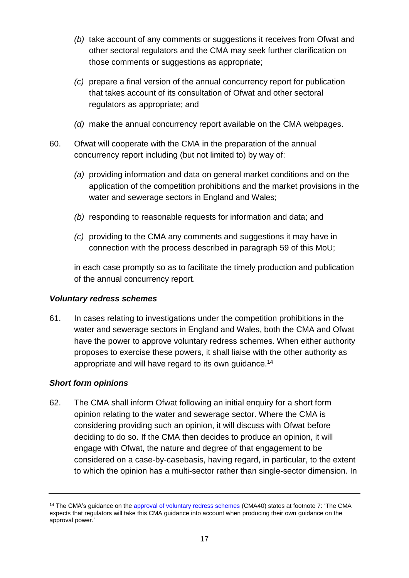- *(b)* take account of any comments or suggestions it receives from Ofwat and other sectoral regulators and the CMA may seek further clarification on those comments or suggestions as appropriate;
- *(c)* prepare a final version of the annual concurrency report for publication that takes account of its consultation of Ofwat and other sectoral regulators as appropriate; and
- *(d)* make the annual concurrency report available on the CMA webpages.
- <span id="page-16-0"></span>60. Ofwat will cooperate with the CMA in the preparation of the annual concurrency report including (but not limited to) by way of:
	- *(a)* providing information and data on general market conditions and on the application of the competition prohibitions and the market provisions in the water and sewerage sectors in England and Wales;
	- *(b)* responding to reasonable requests for information and data; and
	- *(c)* providing to the CMA any comments and suggestions it may have in connection with the process described in paragraph [59](#page-15-2) of this MoU;

in each case promptly so as to facilitate the timely production and publication of the annual concurrency report.

### *Voluntary redress schemes*

61. In cases relating to investigations under the competition prohibitions in the water and sewerage sectors in England and Wales, both the CMA and Ofwat have the power to approve voluntary redress schemes. When either authority proposes to exercise these powers, it shall liaise with the other authority as appropriate and will have regard to its own guidance.<sup>14</sup>

### *Short form opinions*

62. The CMA shall inform Ofwat following an initial enquiry for a short form opinion relating to the water and sewerage sector. Where the CMA is considering providing such an opinion, it will discuss with Ofwat before deciding to do so. If the CMA then decides to produce an opinion, it will engage with Ofwat, the nature and degree of that engagement to be considered on a case-by-casebasis, having regard, in particular, to the extent to which the opinion has a multi-sector rather than single-sector dimension. In

<sup>14</sup> The CMA's guidance on th[e approval of voluntary redress schemes](https://www.gov.uk/government/publications/approval-of-redress-schemes-for-competition-law-infringements) (CMA40) states at footnote 7: 'The CMA expects that regulators will take this CMA guidance into account when producing their own guidance on the approval power.'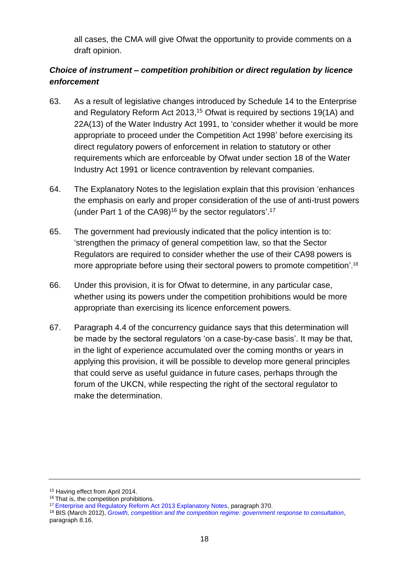all cases, the CMA will give Ofwat the opportunity to provide comments on a draft opinion.

## *Choice of instrument – competition prohibition or direct regulation by licence enforcement*

- 63. As a result of legislative changes introduced by Schedule 14 to the Enterprise and Regulatory Reform Act 2013, <sup>15</sup> Ofwat is required by sections 19(1A) and 22A(13) of the Water Industry Act 1991, to 'consider whether it would be more appropriate to proceed under the Competition Act 1998' before exercising its direct regulatory powers of enforcement in relation to statutory or other requirements which are enforceable by Ofwat under section 18 of the Water Industry Act 1991 or licence contravention by relevant companies.
- 64. The Explanatory Notes to the legislation explain that this provision 'enhances the emphasis on early and proper consideration of the use of anti-trust powers (under Part 1 of the CA98) <sup>16</sup> by the sector regulators'. 17
- 65. The government had previously indicated that the policy intention is to: 'strengthen the primacy of general competition law, so that the Sector Regulators are required to consider whether the use of their CA98 powers is more appropriate before using their sectoral powers to promote competition'. 18
- 66. Under this provision, it is for Ofwat to determine, in any particular case, whether using its powers under the competition prohibitions would be more appropriate than exercising its licence enforcement powers.
- 67. Paragraph 4.4 of the concurrency guidance says that this determination will be made by the sectoral regulators 'on a case-by-case basis'. It may be that, in the light of experience accumulated over the coming months or years in applying this provision, it will be possible to develop more general principles that could serve as useful guidance in future cases, perhaps through the forum of the UKCN, while respecting the right of the sectoral regulator to make the determination.

<sup>&</sup>lt;sup>15</sup> Having effect from April 2014.

<sup>&</sup>lt;sup>16</sup> That is, the competition prohibitions.

<sup>&</sup>lt;sup>17</sup> [Enterprise and Regulatory Reform Act 2013 Explanatory Notes,](http://www.legislation.gov.uk/ukpga/2013/24/notes) paragraph 370.

<sup>18</sup> BIS (March 2012), *[Growth, competition and the competition regime: government response to consultation](https://www.gov.uk/government/publications/growth-competition-and-the-competition-regime-government-response-to-consultation)*, paragraph 8.16.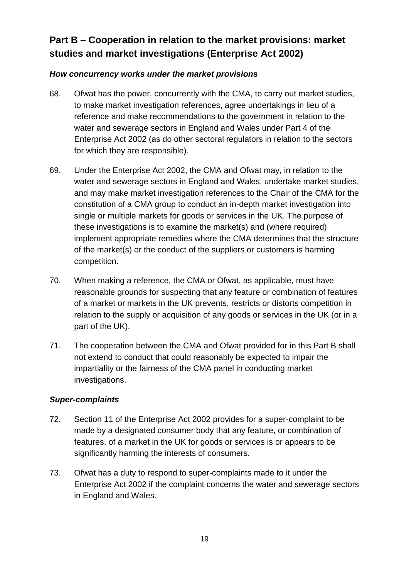# <span id="page-18-0"></span>**Part B – Cooperation in relation to the market provisions: market studies and market investigations (Enterprise Act 2002)**

## *How concurrency works under the market provisions*

- 68. Ofwat has the power, concurrently with the CMA, to carry out market studies, to make market investigation references, agree undertakings in lieu of a reference and make recommendations to the government in relation to the water and sewerage sectors in England and Wales under Part 4 of the Enterprise Act 2002 (as do other sectoral regulators in relation to the sectors for which they are responsible).
- 69. Under the Enterprise Act 2002, the CMA and Ofwat may, in relation to the water and sewerage sectors in England and Wales, undertake market studies, and may make market investigation references to the Chair of the CMA for the constitution of a CMA group to conduct an in-depth market investigation into single or multiple markets for goods or services in the UK. The purpose of these investigations is to examine the market(s) and (where required) implement appropriate remedies where the CMA determines that the structure of the market(s) or the conduct of the suppliers or customers is harming competition.
- 70. When making a reference, the CMA or Ofwat, as applicable, must have reasonable grounds for suspecting that any feature or combination of features of a market or markets in the UK prevents, restricts or distorts competition in relation to the supply or acquisition of any goods or services in the UK (or in a part of the UK).
- 71. The cooperation between the CMA and Ofwat provided for in this Part B shall not extend to conduct that could reasonably be expected to impair the impartiality or the fairness of the CMA panel in conducting market investigations.

### *Super-complaints*

- 72. Section 11 of the Enterprise Act 2002 provides for a super-complaint to be made by a designated consumer body that any feature, or combination of features, of a market in the UK for goods or services is or appears to be significantly harming the interests of consumers.
- 73. Ofwat has a duty to respond to super-complaints made to it under the Enterprise Act 2002 if the complaint concerns the water and sewerage sectors in England and Wales.